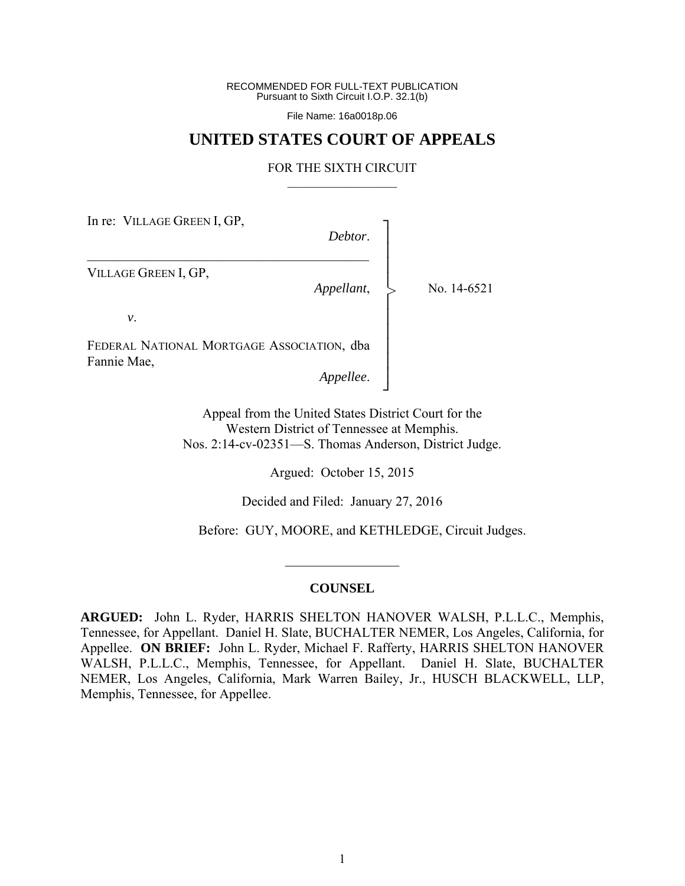RECOMMENDED FOR FULL-TEXT PUBLICATION Pursuant to Sixth Circuit I.O.P. 32.1(b)

File Name: 16a0018p.06

## **UNITED STATES COURT OF APPEALS**

## FOR THE SIXTH CIRCUIT  $\mathcal{L}_\text{max}$

In re: VILLAGE GREEN I, GP,

*Debtor*.

┐ │ │ │ │ │ │ │ │ │ │ ┘

>

VILLAGE GREEN I, GP,

*Appellant*,

No. 14-6521

*v*.

FEDERAL NATIONAL MORTGAGE ASSOCIATION, dba Fannie Mae,

 $\mathcal{L}_\mathcal{L} = \mathcal{L}_\mathcal{L} = \mathcal{L}_\mathcal{L} = \mathcal{L}_\mathcal{L} = \mathcal{L}_\mathcal{L} = \mathcal{L}_\mathcal{L} = \mathcal{L}_\mathcal{L} = \mathcal{L}_\mathcal{L} = \mathcal{L}_\mathcal{L} = \mathcal{L}_\mathcal{L} = \mathcal{L}_\mathcal{L} = \mathcal{L}_\mathcal{L} = \mathcal{L}_\mathcal{L} = \mathcal{L}_\mathcal{L} = \mathcal{L}_\mathcal{L} = \mathcal{L}_\mathcal{L} = \mathcal{L}_\mathcal{L}$ 

*Appellee*.

Appeal from the United States District Court for the Western District of Tennessee at Memphis. Nos. 2:14-cv-02351—S. Thomas Anderson, District Judge.

Argued: October 15, 2015

Decided and Filed: January 27, 2016

Before: GUY, MOORE, and KETHLEDGE, Circuit Judges.

## **COUNSEL**

 $\mathcal{L}_\text{max}$ 

**ARGUED:** John L. Ryder, HARRIS SHELTON HANOVER WALSH, P.L.L.C., Memphis, Tennessee, for Appellant. Daniel H. Slate, BUCHALTER NEMER, Los Angeles, California, for Appellee. **ON BRIEF:** John L. Ryder, Michael F. Rafferty, HARRIS SHELTON HANOVER WALSH, P.L.L.C., Memphis, Tennessee, for Appellant. Daniel H. Slate, BUCHALTER NEMER, Los Angeles, California, Mark Warren Bailey, Jr., HUSCH BLACKWELL, LLP, Memphis, Tennessee, for Appellee.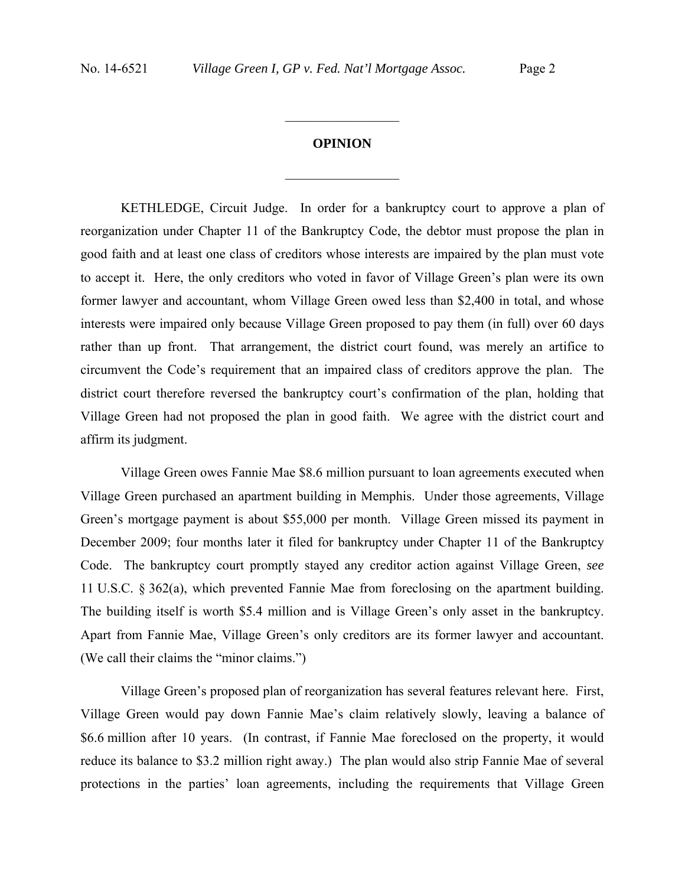## **OPINION**

 $\frac{1}{2}$  ,  $\frac{1}{2}$  ,  $\frac{1}{2}$  ,  $\frac{1}{2}$  ,  $\frac{1}{2}$  ,  $\frac{1}{2}$  ,  $\frac{1}{2}$  ,  $\frac{1}{2}$  ,  $\frac{1}{2}$ 

 $\frac{1}{2}$  ,  $\frac{1}{2}$  ,  $\frac{1}{2}$  ,  $\frac{1}{2}$  ,  $\frac{1}{2}$  ,  $\frac{1}{2}$  ,  $\frac{1}{2}$  ,  $\frac{1}{2}$  ,  $\frac{1}{2}$ 

 KETHLEDGE, Circuit Judge. In order for a bankruptcy court to approve a plan of reorganization under Chapter 11 of the Bankruptcy Code, the debtor must propose the plan in good faith and at least one class of creditors whose interests are impaired by the plan must vote to accept it. Here, the only creditors who voted in favor of Village Green's plan were its own former lawyer and accountant, whom Village Green owed less than \$2,400 in total, and whose interests were impaired only because Village Green proposed to pay them (in full) over 60 days rather than up front. That arrangement, the district court found, was merely an artifice to circumvent the Code's requirement that an impaired class of creditors approve the plan. The district court therefore reversed the bankruptcy court's confirmation of the plan, holding that Village Green had not proposed the plan in good faith. We agree with the district court and affirm its judgment.

 Village Green owes Fannie Mae \$8.6 million pursuant to loan agreements executed when Village Green purchased an apartment building in Memphis. Under those agreements, Village Green's mortgage payment is about \$55,000 per month. Village Green missed its payment in December 2009; four months later it filed for bankruptcy under Chapter 11 of the Bankruptcy Code. The bankruptcy court promptly stayed any creditor action against Village Green, *see* 11 U.S.C. § 362(a), which prevented Fannie Mae from foreclosing on the apartment building. The building itself is worth \$5.4 million and is Village Green's only asset in the bankruptcy. Apart from Fannie Mae, Village Green's only creditors are its former lawyer and accountant. (We call their claims the "minor claims.")

 Village Green's proposed plan of reorganization has several features relevant here. First, Village Green would pay down Fannie Mae's claim relatively slowly, leaving a balance of \$6.6 million after 10 years. (In contrast, if Fannie Mae foreclosed on the property, it would reduce its balance to \$3.2 million right away.) The plan would also strip Fannie Mae of several protections in the parties' loan agreements, including the requirements that Village Green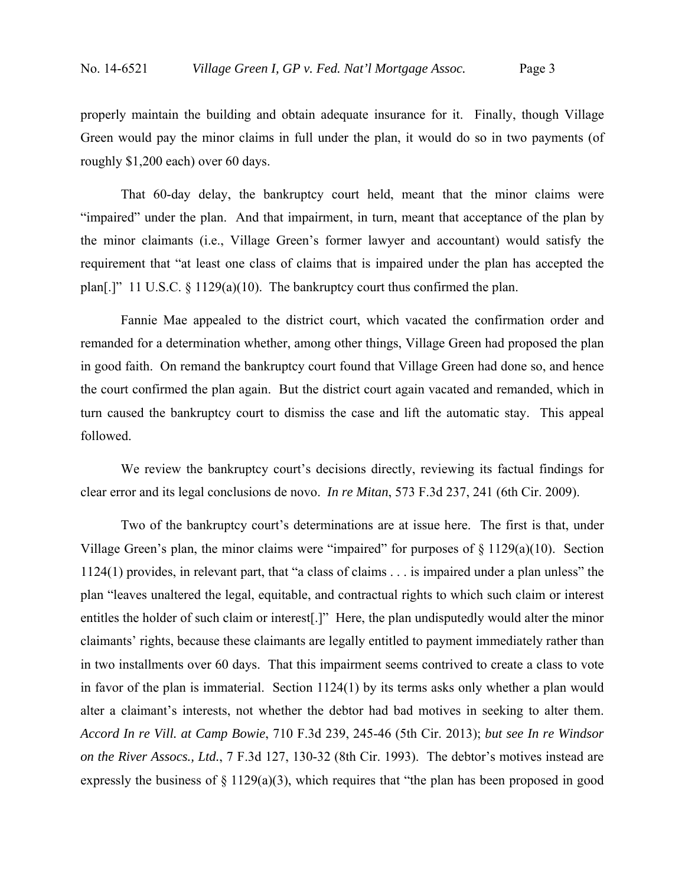properly maintain the building and obtain adequate insurance for it. Finally, though Village Green would pay the minor claims in full under the plan, it would do so in two payments (of roughly \$1,200 each) over 60 days.

 That 60-day delay, the bankruptcy court held, meant that the minor claims were "impaired" under the plan. And that impairment, in turn, meant that acceptance of the plan by the minor claimants (i.e., Village Green's former lawyer and accountant) would satisfy the requirement that "at least one class of claims that is impaired under the plan has accepted the plan[.]" 11 U.S.C. § 1129(a)(10). The bankruptcy court thus confirmed the plan.

 Fannie Mae appealed to the district court, which vacated the confirmation order and remanded for a determination whether, among other things, Village Green had proposed the plan in good faith. On remand the bankruptcy court found that Village Green had done so, and hence the court confirmed the plan again. But the district court again vacated and remanded, which in turn caused the bankruptcy court to dismiss the case and lift the automatic stay. This appeal followed.

 We review the bankruptcy court's decisions directly, reviewing its factual findings for clear error and its legal conclusions de novo. *In re Mitan*, 573 F.3d 237, 241 (6th Cir. 2009).

 Two of the bankruptcy court's determinations are at issue here. The first is that, under Village Green's plan, the minor claims were "impaired" for purposes of  $\S$  1129(a)(10). Section 1124(1) provides, in relevant part, that "a class of claims . . . is impaired under a plan unless" the plan "leaves unaltered the legal, equitable, and contractual rights to which such claim or interest entitles the holder of such claim or interest[.]" Here, the plan undisputedly would alter the minor claimants' rights, because these claimants are legally entitled to payment immediately rather than in two installments over 60 days. That this impairment seems contrived to create a class to vote in favor of the plan is immaterial. Section 1124(1) by its terms asks only whether a plan would alter a claimant's interests, not whether the debtor had bad motives in seeking to alter them. *Accord In re Vill. at Camp Bowie*, 710 F.3d 239, 245-46 (5th Cir. 2013); *but see In re Windsor on the River Assocs., Ltd.*, 7 F.3d 127, 130-32 (8th Cir. 1993). The debtor's motives instead are expressly the business of  $\S 1129(a)(3)$ , which requires that "the plan has been proposed in good